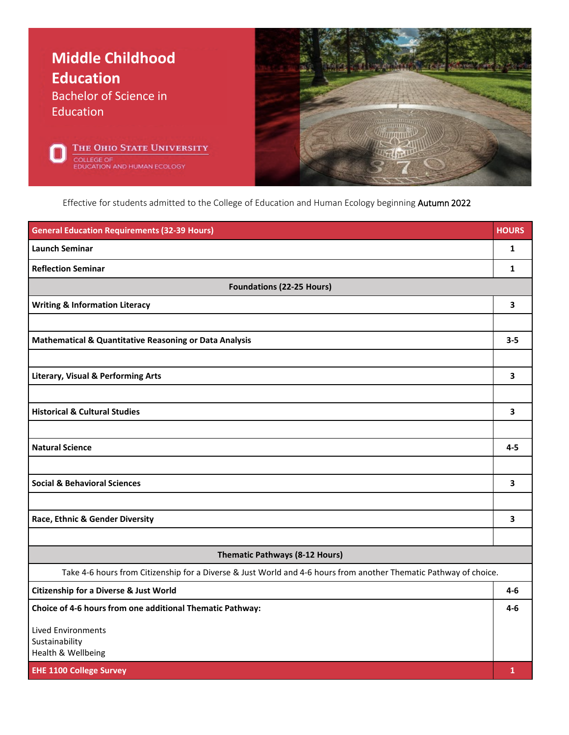

Effective for students admitted to the College of Education and Human Ecology beginning Autumn 2022

| <b>General Education Requirements (32-39 Hours)</b>                                                               | <b>HOURS</b> |
|-------------------------------------------------------------------------------------------------------------------|--------------|
| <b>Launch Seminar</b>                                                                                             | 1            |
| <b>Reflection Seminar</b>                                                                                         | $\mathbf{1}$ |
| <b>Foundations (22-25 Hours)</b>                                                                                  |              |
| <b>Writing &amp; Information Literacy</b>                                                                         | 3            |
|                                                                                                                   |              |
| Mathematical & Quantitative Reasoning or Data Analysis                                                            | $3 - 5$      |
|                                                                                                                   |              |
| <b>Literary, Visual &amp; Performing Arts</b>                                                                     | 3            |
|                                                                                                                   |              |
| <b>Historical &amp; Cultural Studies</b>                                                                          | 3            |
|                                                                                                                   |              |
| <b>Natural Science</b>                                                                                            | $4 - 5$      |
|                                                                                                                   |              |
| <b>Social &amp; Behavioral Sciences</b>                                                                           | 3            |
|                                                                                                                   |              |
| Race, Ethnic & Gender Diversity                                                                                   | 3            |
|                                                                                                                   |              |
| Thematic Pathways (8-12 Hours)                                                                                    |              |
| Take 4-6 hours from Citizenship for a Diverse & Just World and 4-6 hours from another Thematic Pathway of choice. |              |
| <b>Citizenship for a Diverse &amp; Just World</b>                                                                 | 4-6          |
| Choice of 4-6 hours from one additional Thematic Pathway:                                                         | 4-6          |
| <b>Lived Environments</b>                                                                                         |              |
| Sustainability<br>Health & Wellbeing                                                                              |              |
| <b>EHE 1100 College Survey</b>                                                                                    | 1            |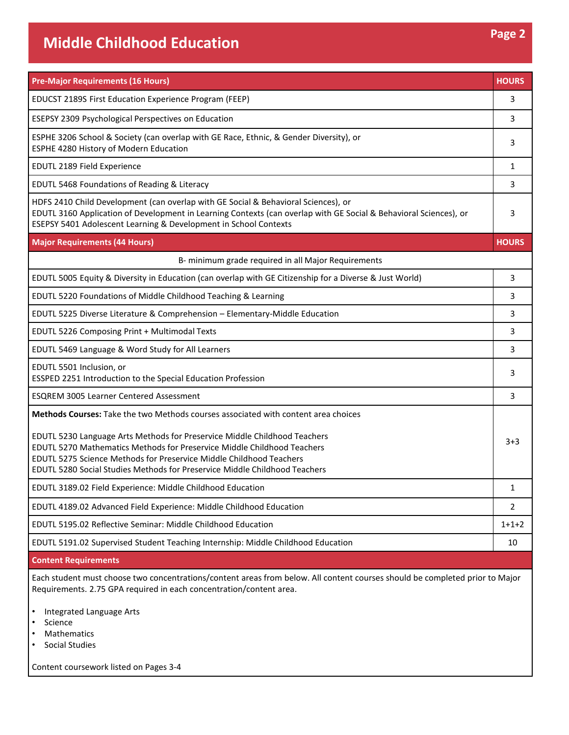| <b>Pre-Major Requirements (16 Hours)</b>                                                                                                                                                                                                                                                                                                                                                               | <b>HOURS</b>   |
|--------------------------------------------------------------------------------------------------------------------------------------------------------------------------------------------------------------------------------------------------------------------------------------------------------------------------------------------------------------------------------------------------------|----------------|
| EDUCST 2189S First Education Experience Program (FEEP)                                                                                                                                                                                                                                                                                                                                                 | 3              |
| <b>ESEPSY 2309 Psychological Perspectives on Education</b>                                                                                                                                                                                                                                                                                                                                             | 3              |
| ESPHE 3206 School & Society (can overlap with GE Race, Ethnic, & Gender Diversity), or<br>ESPHE 4280 History of Modern Education                                                                                                                                                                                                                                                                       | 3              |
| EDUTL 2189 Field Experience                                                                                                                                                                                                                                                                                                                                                                            | 1              |
| EDUTL 5468 Foundations of Reading & Literacy                                                                                                                                                                                                                                                                                                                                                           | 3              |
| HDFS 2410 Child Development (can overlap with GE Social & Behavioral Sciences), or<br>EDUTL 3160 Application of Development in Learning Contexts (can overlap with GE Social & Behavioral Sciences), or<br>ESEPSY 5401 Adolescent Learning & Development in School Contexts                                                                                                                            | 3              |
| <b>Major Requirements (44 Hours)</b>                                                                                                                                                                                                                                                                                                                                                                   | <b>HOURS</b>   |
| B- minimum grade required in all Major Requirements                                                                                                                                                                                                                                                                                                                                                    |                |
| EDUTL 5005 Equity & Diversity in Education (can overlap with GE Citizenship for a Diverse & Just World)                                                                                                                                                                                                                                                                                                | 3              |
| EDUTL 5220 Foundations of Middle Childhood Teaching & Learning                                                                                                                                                                                                                                                                                                                                         | 3              |
| EDUTL 5225 Diverse Literature & Comprehension - Elementary-Middle Education                                                                                                                                                                                                                                                                                                                            | 3              |
| EDUTL 5226 Composing Print + Multimodal Texts                                                                                                                                                                                                                                                                                                                                                          | 3              |
| EDUTL 5469 Language & Word Study for All Learners                                                                                                                                                                                                                                                                                                                                                      | 3              |
| EDUTL 5501 Inclusion, or<br>ESSPED 2251 Introduction to the Special Education Profession                                                                                                                                                                                                                                                                                                               | 3              |
| <b>ESQREM 3005 Learner Centered Assessment</b>                                                                                                                                                                                                                                                                                                                                                         | 3              |
| Methods Courses: Take the two Methods courses associated with content area choices<br>EDUTL 5230 Language Arts Methods for Preservice Middle Childhood Teachers<br><b>EDUTL 5270 Mathematics Methods for Preservice Middle Childhood Teachers</b><br>EDUTL 5275 Science Methods for Preservice Middle Childhood Teachers<br>EDUTL 5280 Social Studies Methods for Preservice Middle Childhood Teachers | $3+3$          |
| EDUTL 3189.02 Field Experience: Middle Childhood Education                                                                                                                                                                                                                                                                                                                                             | 1              |
| EDUTL 4189.02 Advanced Field Experience: Middle Childhood Education                                                                                                                                                                                                                                                                                                                                    | $\overline{2}$ |
| EDUTL 5195.02 Reflective Seminar: Middle Childhood Education                                                                                                                                                                                                                                                                                                                                           | $1+1+2$        |
| EDUTL 5191.02 Supervised Student Teaching Internship: Middle Childhood Education                                                                                                                                                                                                                                                                                                                       | 10             |

## **Content Requirements**

Each student must choose two concentrations/content areas from below. All content courses should be completed prior to Major Requirements. 2.75 GPA required in each concentration/content area.

- Integrated Language Arts
- Science
- Mathematics
- Social Studies

Content coursework listed on Pages 3-4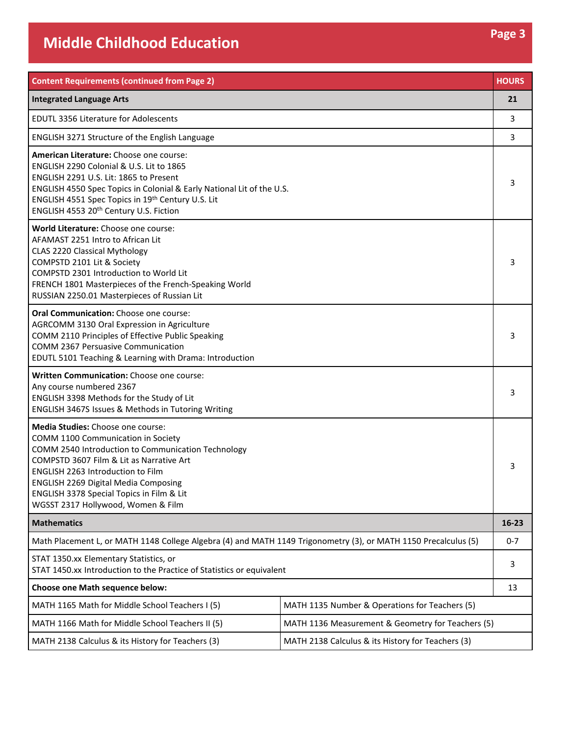| <b>Content Requirements (continued from Page 2)</b>                                                                                                                                                                                                                                                                                                     |                                                   | <b>HOURS</b> |
|---------------------------------------------------------------------------------------------------------------------------------------------------------------------------------------------------------------------------------------------------------------------------------------------------------------------------------------------------------|---------------------------------------------------|--------------|
| <b>Integrated Language Arts</b>                                                                                                                                                                                                                                                                                                                         |                                                   | 21           |
| <b>EDUTL 3356 Literature for Adolescents</b>                                                                                                                                                                                                                                                                                                            |                                                   | 3            |
| ENGLISH 3271 Structure of the English Language                                                                                                                                                                                                                                                                                                          |                                                   | 3            |
| American Literature: Choose one course:<br>ENGLISH 2290 Colonial & U.S. Lit to 1865<br>ENGLISH 2291 U.S. Lit: 1865 to Present<br>ENGLISH 4550 Spec Topics in Colonial & Early National Lit of the U.S.<br>ENGLISH 4551 Spec Topics in 19th Century U.S. Lit<br>ENGLISH 4553 20th Century U.S. Fiction                                                   |                                                   | 3            |
| World Literature: Choose one course:<br>AFAMAST 2251 Intro to African Lit<br>CLAS 2220 Classical Mythology<br>COMPSTD 2101 Lit & Society<br>COMPSTD 2301 Introduction to World Lit<br>FRENCH 1801 Masterpieces of the French-Speaking World<br>RUSSIAN 2250.01 Masterpieces of Russian Lit                                                              |                                                   | 3            |
| Oral Communication: Choose one course:<br>AGRCOMM 3130 Oral Expression in Agriculture<br>COMM 2110 Principles of Effective Public Speaking<br>COMM 2367 Persuasive Communication<br>EDUTL 5101 Teaching & Learning with Drama: Introduction                                                                                                             |                                                   |              |
| Written Communication: Choose one course:<br>Any course numbered 2367<br>ENGLISH 3398 Methods for the Study of Lit<br>ENGLISH 3467S Issues & Methods in Tutoring Writing                                                                                                                                                                                |                                                   |              |
| Media Studies: Choose one course:<br>COMM 1100 Communication in Society<br>COMM 2540 Introduction to Communication Technology<br>COMPSTD 3607 Film & Lit as Narrative Art<br><b>ENGLISH 2263 Introduction to Film</b><br><b>ENGLISH 2269 Digital Media Composing</b><br>ENGLISH 3378 Special Topics in Film & Lit<br>WGSST 2317 Hollywood, Women & Film |                                                   |              |
| <b>Mathematics</b>                                                                                                                                                                                                                                                                                                                                      |                                                   | $16 - 23$    |
| Math Placement L, or MATH 1148 College Algebra (4) and MATH 1149 Trigonometry (3), or MATH 1150 Precalculus (5)                                                                                                                                                                                                                                         |                                                   | $0 - 7$      |
| STAT 1350.xx Elementary Statistics, or<br>STAT 1450.xx Introduction to the Practice of Statistics or equivalent                                                                                                                                                                                                                                         |                                                   | 3            |
| Choose one Math sequence below:                                                                                                                                                                                                                                                                                                                         |                                                   | 13           |
| MATH 1165 Math for Middle School Teachers I (5)                                                                                                                                                                                                                                                                                                         | MATH 1135 Number & Operations for Teachers (5)    |              |
| MATH 1166 Math for Middle School Teachers II (5)                                                                                                                                                                                                                                                                                                        | MATH 1136 Measurement & Geometry for Teachers (5) |              |
| MATH 2138 Calculus & its History for Teachers (3)                                                                                                                                                                                                                                                                                                       | MATH 2138 Calculus & its History for Teachers (3) |              |